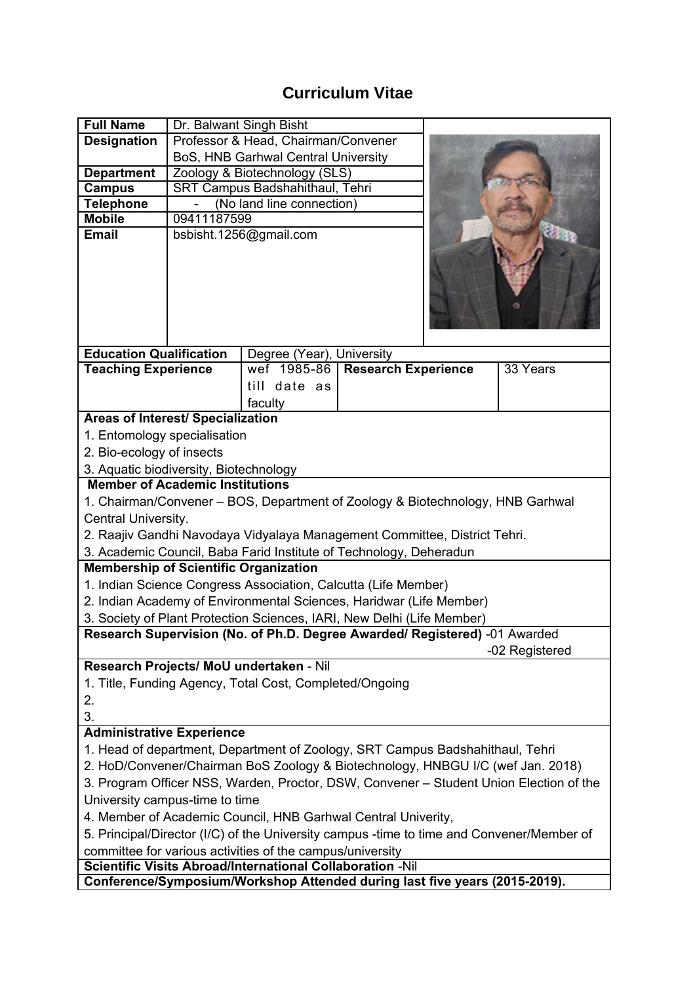## **Curriculum Vitae**

| Professor & Head, Chairman/Convener<br><b>Designation</b><br>BoS, HNB Garhwal Central University<br><b>Department</b><br>Zoology & Biotechnology (SLS)<br>SRT Campus Badshahithaul, Tehri<br><b>Campus</b><br><b>Telephone</b><br>(No land line connection)<br>09411187599<br><b>Mobile</b><br>bsbisht.1256@gmail.com<br><b>Email</b><br><b>Education Qualification</b><br>Degree (Year), University<br>wef 1985-86<br><b>Research Experience</b><br><b>Teaching Experience</b><br>33 Years<br>till date as<br>faculty<br>Areas of Interest/ Specialization<br>1. Entomology specialisation<br>2. Bio-ecology of insects<br>3. Aquatic biodiversity, Biotechnology<br><b>Member of Academic Institutions</b><br>1. Chairman/Convener - BOS, Department of Zoology & Biotechnology, HNB Garhwal |
|------------------------------------------------------------------------------------------------------------------------------------------------------------------------------------------------------------------------------------------------------------------------------------------------------------------------------------------------------------------------------------------------------------------------------------------------------------------------------------------------------------------------------------------------------------------------------------------------------------------------------------------------------------------------------------------------------------------------------------------------------------------------------------------------|
|                                                                                                                                                                                                                                                                                                                                                                                                                                                                                                                                                                                                                                                                                                                                                                                                |
|                                                                                                                                                                                                                                                                                                                                                                                                                                                                                                                                                                                                                                                                                                                                                                                                |
|                                                                                                                                                                                                                                                                                                                                                                                                                                                                                                                                                                                                                                                                                                                                                                                                |
|                                                                                                                                                                                                                                                                                                                                                                                                                                                                                                                                                                                                                                                                                                                                                                                                |
|                                                                                                                                                                                                                                                                                                                                                                                                                                                                                                                                                                                                                                                                                                                                                                                                |
|                                                                                                                                                                                                                                                                                                                                                                                                                                                                                                                                                                                                                                                                                                                                                                                                |
|                                                                                                                                                                                                                                                                                                                                                                                                                                                                                                                                                                                                                                                                                                                                                                                                |
|                                                                                                                                                                                                                                                                                                                                                                                                                                                                                                                                                                                                                                                                                                                                                                                                |
|                                                                                                                                                                                                                                                                                                                                                                                                                                                                                                                                                                                                                                                                                                                                                                                                |
|                                                                                                                                                                                                                                                                                                                                                                                                                                                                                                                                                                                                                                                                                                                                                                                                |
|                                                                                                                                                                                                                                                                                                                                                                                                                                                                                                                                                                                                                                                                                                                                                                                                |
|                                                                                                                                                                                                                                                                                                                                                                                                                                                                                                                                                                                                                                                                                                                                                                                                |
|                                                                                                                                                                                                                                                                                                                                                                                                                                                                                                                                                                                                                                                                                                                                                                                                |
|                                                                                                                                                                                                                                                                                                                                                                                                                                                                                                                                                                                                                                                                                                                                                                                                |
|                                                                                                                                                                                                                                                                                                                                                                                                                                                                                                                                                                                                                                                                                                                                                                                                |
|                                                                                                                                                                                                                                                                                                                                                                                                                                                                                                                                                                                                                                                                                                                                                                                                |
|                                                                                                                                                                                                                                                                                                                                                                                                                                                                                                                                                                                                                                                                                                                                                                                                |
|                                                                                                                                                                                                                                                                                                                                                                                                                                                                                                                                                                                                                                                                                                                                                                                                |
|                                                                                                                                                                                                                                                                                                                                                                                                                                                                                                                                                                                                                                                                                                                                                                                                |
|                                                                                                                                                                                                                                                                                                                                                                                                                                                                                                                                                                                                                                                                                                                                                                                                |
| Central University.                                                                                                                                                                                                                                                                                                                                                                                                                                                                                                                                                                                                                                                                                                                                                                            |
| 2. Raajiv Gandhi Navodaya Vidyalaya Management Committee, District Tehri.<br>3. Academic Council, Baba Farid Institute of Technology, Deheradun                                                                                                                                                                                                                                                                                                                                                                                                                                                                                                                                                                                                                                                |
| <b>Membership of Scientific Organization</b>                                                                                                                                                                                                                                                                                                                                                                                                                                                                                                                                                                                                                                                                                                                                                   |
| 1. Indian Science Congress Association, Calcutta (Life Member)                                                                                                                                                                                                                                                                                                                                                                                                                                                                                                                                                                                                                                                                                                                                 |
| 2. Indian Academy of Environmental Sciences, Haridwar (Life Member)                                                                                                                                                                                                                                                                                                                                                                                                                                                                                                                                                                                                                                                                                                                            |
| 3. Society of Plant Protection Sciences, IARI, New Delhi (Life Member)                                                                                                                                                                                                                                                                                                                                                                                                                                                                                                                                                                                                                                                                                                                         |
| Research Supervision (No. of Ph.D. Degree Awarded/ Registered) -01 Awarded                                                                                                                                                                                                                                                                                                                                                                                                                                                                                                                                                                                                                                                                                                                     |
| -02 Registered                                                                                                                                                                                                                                                                                                                                                                                                                                                                                                                                                                                                                                                                                                                                                                                 |
| Research Projects/ MoU undertaken - Nil                                                                                                                                                                                                                                                                                                                                                                                                                                                                                                                                                                                                                                                                                                                                                        |
| 1. Title, Funding Agency, Total Cost, Completed/Ongoing                                                                                                                                                                                                                                                                                                                                                                                                                                                                                                                                                                                                                                                                                                                                        |
| 2.                                                                                                                                                                                                                                                                                                                                                                                                                                                                                                                                                                                                                                                                                                                                                                                             |
| 3.                                                                                                                                                                                                                                                                                                                                                                                                                                                                                                                                                                                                                                                                                                                                                                                             |
| <b>Administrative Experience</b>                                                                                                                                                                                                                                                                                                                                                                                                                                                                                                                                                                                                                                                                                                                                                               |
| 1. Head of department, Department of Zoology, SRT Campus Badshahithaul, Tehri                                                                                                                                                                                                                                                                                                                                                                                                                                                                                                                                                                                                                                                                                                                  |
| 2. HoD/Convener/Chairman BoS Zoology & Biotechnology, HNBGU I/C (wef Jan. 2018)                                                                                                                                                                                                                                                                                                                                                                                                                                                                                                                                                                                                                                                                                                                |
| 3. Program Officer NSS, Warden, Proctor, DSW, Convener - Student Union Election of the                                                                                                                                                                                                                                                                                                                                                                                                                                                                                                                                                                                                                                                                                                         |
| University campus-time to time                                                                                                                                                                                                                                                                                                                                                                                                                                                                                                                                                                                                                                                                                                                                                                 |
| 4. Member of Academic Council, HNB Garhwal Central Univerity,                                                                                                                                                                                                                                                                                                                                                                                                                                                                                                                                                                                                                                                                                                                                  |
| 5. Principal/Director (I/C) of the University campus -time to time and Convener/Member of                                                                                                                                                                                                                                                                                                                                                                                                                                                                                                                                                                                                                                                                                                      |
| committee for various activities of the campus/university<br>Scientific Visits Abroad/International Collaboration -Nil                                                                                                                                                                                                                                                                                                                                                                                                                                                                                                                                                                                                                                                                         |
| Conference/Symposium/Workshop Attended during last five years (2015-2019).                                                                                                                                                                                                                                                                                                                                                                                                                                                                                                                                                                                                                                                                                                                     |
|                                                                                                                                                                                                                                                                                                                                                                                                                                                                                                                                                                                                                                                                                                                                                                                                |